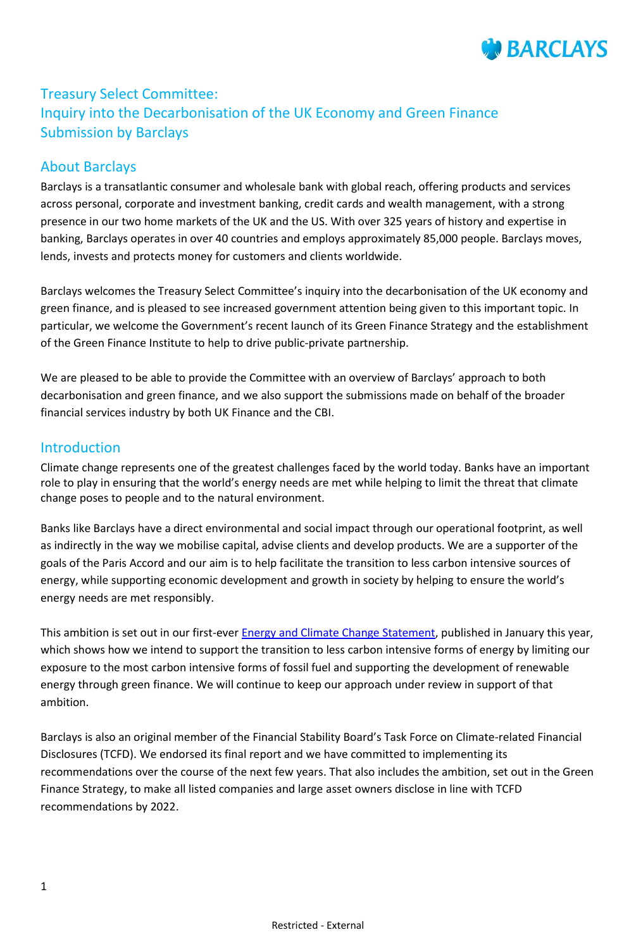

# Treasury Select Committee: Inquiry into the Decarbonisation of the UK Economy and Green Finance Submission by Barclays

### About Barclays

Barclays is a transatlantic consumer and wholesale bank with global reach, offering products and services across personal, corporate and investment banking, credit cards and wealth management, with a strong presence in our two home markets of the UK and the US. With over 325 years of history and expertise in banking, Barclays operates in over 40 countries and employs approximately 85,000 people. Barclays moves, lends, invests and protects money for customers and clients worldwide.

Barclays welcomes the Treasury Select Committee's inquiry into the decarbonisation of the UK economy and green finance, and is pleased to see increased government attention being given to this important topic. In particular, we welcome the Government's recent launch of its Green Finance Strategy and the establishment of the Green Finance Institute to help to drive public-private partnership.

We are pleased to be able to provide the Committee with an overview of Barclays' approach to both decarbonisation and green finance, and we also support the submissions made on behalf of the broader financial services industry by both UK Finance and the CBI.

### Introduction

Climate change represents one of the greatest challenges faced by the world today. Banks have an important role to play in ensuring that the world's energy needs are met while helping to limit the threat that climate change poses to people and to the natural environment.

Banks like Barclays have a direct environmental and social impact through our operational footprint, as well as indirectly in the way we mobilise capital, advise clients and develop products. We are a supporter of the goals of the Paris Accord and our aim is to help facilitate the transition to less carbon intensive sources of energy, while supporting economic development and growth in society by helping to ensure the world's energy needs are met responsibly.

This ambition is set out in our first-ever **Energy and Climate Change Statement**, published in January this year, which shows how we intend to support the transition to less carbon intensive forms of energy by limiting our exposure to the most carbon intensive forms of fossil fuel and supporting the development of renewable energy through green finance. We will continue to keep our approach under review in support of that ambition.

Barclays is also an original member of the Financial Stability Board's Task Force on Climate-related Financial Disclosures (TCFD). We endorsed its final report and we have committed to implementing its recommendations over the course of the next few years. That also includes the ambition, set out in the Green Finance Strategy, to make all listed companies and large asset owners disclose in line with TCFD recommendations by 2022.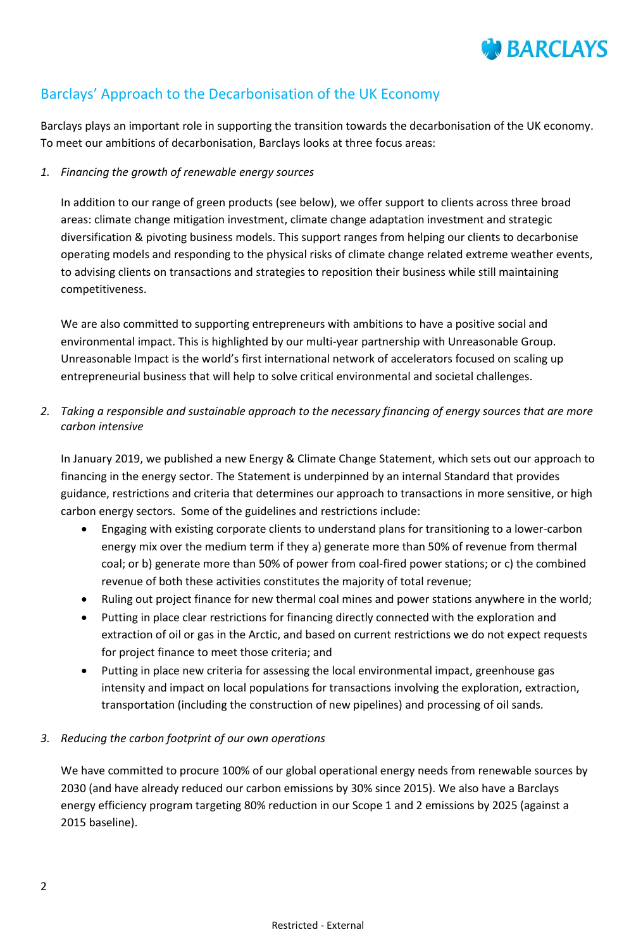

# Barclays' Approach to the Decarbonisation of the UK Economy

Barclays plays an important role in supporting the transition towards the decarbonisation of the UK economy. To meet our ambitions of decarbonisation, Barclays looks at three focus areas:

#### *1. Financing the growth of renewable energy sources*

In addition to our range of green products (see below), we offer support to clients across three broad areas: climate change mitigation investment, climate change adaptation investment and strategic diversification & pivoting business models. This support ranges from helping our clients to decarbonise operating models and responding to the physical risks of climate change related extreme weather events, to advising clients on transactions and strategies to reposition their business while still maintaining competitiveness.

We are also committed to supporting entrepreneurs with ambitions to have a positive social and environmental impact. This is highlighted by our multi-year partnership with Unreasonable Group. Unreasonable Impact is the world's first international network of accelerators focused on scaling up entrepreneurial business that will help to solve critical environmental and societal challenges.

*2. Taking a responsible and sustainable approach to the necessary financing of energy sources that are more carbon intensive*

In January 2019, we published a new Energy & Climate Change Statement, which sets out our approach to financing in the energy sector. The Statement is underpinned by an internal Standard that provides guidance, restrictions and criteria that determines our approach to transactions in more sensitive, or high carbon energy sectors. Some of the guidelines and restrictions include:

- Engaging with existing corporate clients to understand plans for transitioning to a lower-carbon energy mix over the medium term if they a) generate more than 50% of revenue from thermal coal; or b) generate more than 50% of power from coal-fired power stations; or c) the combined revenue of both these activities constitutes the majority of total revenue;
- Ruling out project finance for new thermal coal mines and power stations anywhere in the world;
- Putting in place clear restrictions for financing directly connected with the exploration and extraction of oil or gas in the Arctic, and based on current restrictions we do not expect requests for project finance to meet those criteria; and
- Putting in place new criteria for assessing the local environmental impact, greenhouse gas intensity and impact on local populations for transactions involving the exploration, extraction, transportation (including the construction of new pipelines) and processing of oil sands.

### *3. Reducing the carbon footprint of our own operations*

We have committed to procure 100% of our global operational energy needs from renewable sources by 2030 (and have already reduced our carbon emissions by 30% since 2015). We also have a Barclays energy efficiency program targeting 80% reduction in our Scope 1 and 2 emissions by 2025 (against a 2015 baseline).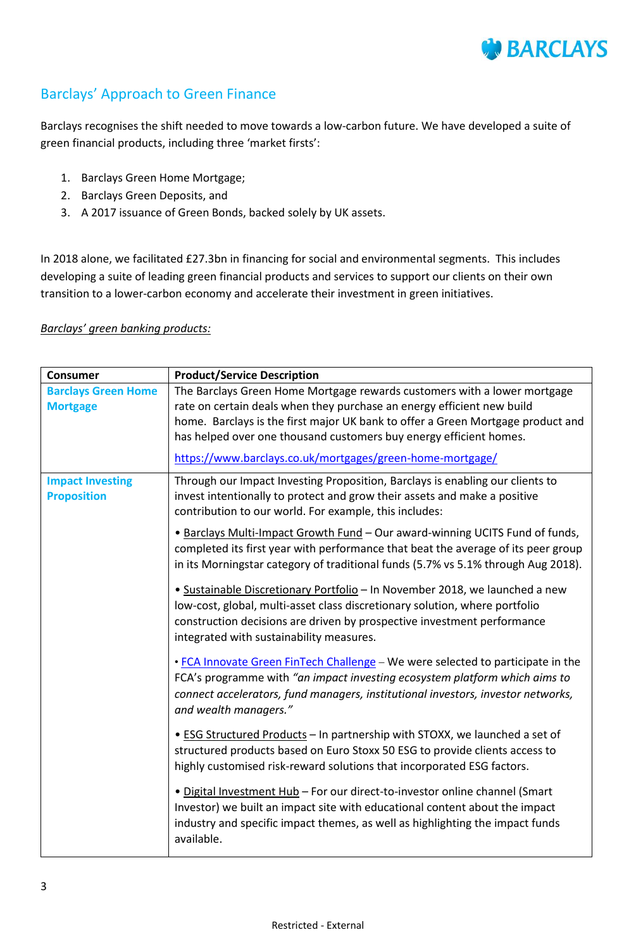

# Barclays' Approach to Green Finance

Barclays recognises the shift needed to move towards a low-carbon future. We have developed a suite of green financial products, including three 'market firsts':

- 1. Barclays Green Home Mortgage;
- 2. Barclays Green Deposits, and
- 3. A 2017 issuance of Green Bonds, backed solely by UK assets.

In 2018 alone, we facilitated £27.3bn in financing for social and environmental segments. This includes developing a suite of leading green financial products and services to support our clients on their own transition to a lower-carbon economy and accelerate their investment in green initiatives.

#### *Barclays' green banking products:*

| <b>Consumer</b>                               | <b>Product/Service Description</b>                                                                                                                                                                                                                                                                                                                                       |
|-----------------------------------------------|--------------------------------------------------------------------------------------------------------------------------------------------------------------------------------------------------------------------------------------------------------------------------------------------------------------------------------------------------------------------------|
| <b>Barclays Green Home</b><br><b>Mortgage</b> | The Barclays Green Home Mortgage rewards customers with a lower mortgage<br>rate on certain deals when they purchase an energy efficient new build<br>home. Barclays is the first major UK bank to offer a Green Mortgage product and<br>has helped over one thousand customers buy energy efficient homes.<br>https://www.barclays.co.uk/mortgages/green-home-mortgage/ |
|                                               |                                                                                                                                                                                                                                                                                                                                                                          |
| <b>Impact Investing</b><br><b>Proposition</b> | Through our Impact Investing Proposition, Barclays is enabling our clients to<br>invest intentionally to protect and grow their assets and make a positive<br>contribution to our world. For example, this includes:                                                                                                                                                     |
|                                               | . Barclays Multi-Impact Growth Fund - Our award-winning UCITS Fund of funds,<br>completed its first year with performance that beat the average of its peer group<br>in its Morningstar category of traditional funds (5.7% vs 5.1% through Aug 2018).                                                                                                                   |
|                                               | · Sustainable Discretionary Portfolio - In November 2018, we launched a new<br>low-cost, global, multi-asset class discretionary solution, where portfolio<br>construction decisions are driven by prospective investment performance<br>integrated with sustainability measures.                                                                                        |
|                                               | . FCA Innovate Green FinTech Challenge - We were selected to participate in the<br>FCA's programme with "an impact investing ecosystem platform which aims to<br>connect accelerators, fund managers, institutional investors, investor networks,<br>and wealth managers."                                                                                               |
|                                               | • ESG Structured Products - In partnership with STOXX, we launched a set of<br>structured products based on Euro Stoxx 50 ESG to provide clients access to<br>highly customised risk-reward solutions that incorporated ESG factors.                                                                                                                                     |
|                                               | . Digital Investment Hub - For our direct-to-investor online channel (Smart<br>Investor) we built an impact site with educational content about the impact<br>industry and specific impact themes, as well as highlighting the impact funds<br>available.                                                                                                                |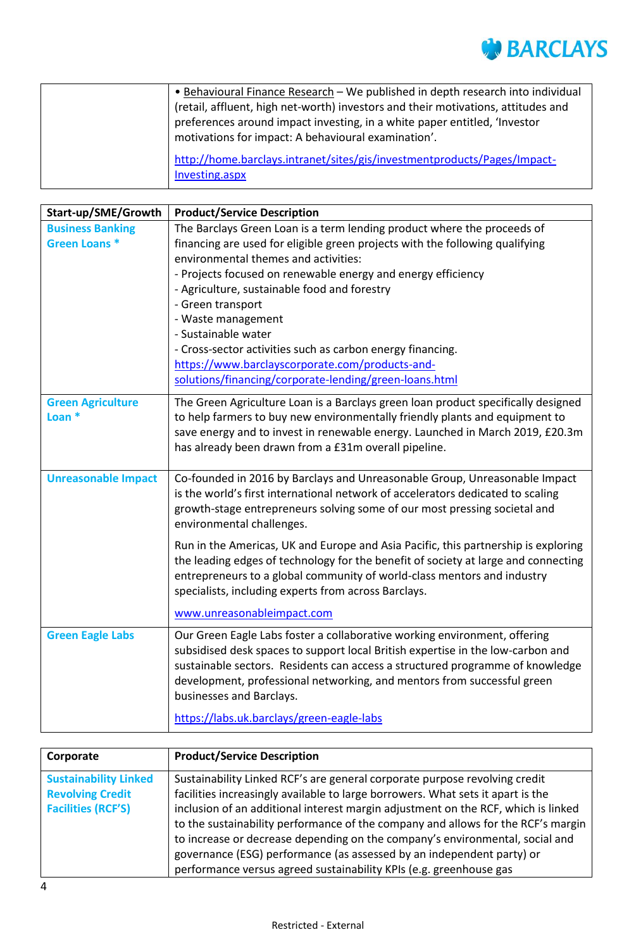

| • Behavioural Finance Research - We published in depth research into individual<br>(retail, affluent, high net-worth) investors and their motivations, attitudes and |
|----------------------------------------------------------------------------------------------------------------------------------------------------------------------|
| preferences around impact investing, in a white paper entitled, 'Investor<br>motivations for impact: A behavioural examination'.                                     |
| http://home.barclays.intranet/sites/gis/investmentproducts/Pages/Impact-<br>Investing.aspx                                                                           |

| Start-up/SME/Growth                            | <b>Product/Service Description</b>                                                                                                                                                                                                                                                                                                                   |
|------------------------------------------------|------------------------------------------------------------------------------------------------------------------------------------------------------------------------------------------------------------------------------------------------------------------------------------------------------------------------------------------------------|
| <b>Business Banking</b><br><b>Green Loans*</b> | The Barclays Green Loan is a term lending product where the proceeds of<br>financing are used for eligible green projects with the following qualifying                                                                                                                                                                                              |
|                                                | environmental themes and activities:                                                                                                                                                                                                                                                                                                                 |
|                                                | - Projects focused on renewable energy and energy efficiency                                                                                                                                                                                                                                                                                         |
|                                                | - Agriculture, sustainable food and forestry                                                                                                                                                                                                                                                                                                         |
|                                                | - Green transport                                                                                                                                                                                                                                                                                                                                    |
|                                                | - Waste management                                                                                                                                                                                                                                                                                                                                   |
|                                                | - Sustainable water                                                                                                                                                                                                                                                                                                                                  |
|                                                | - Cross-sector activities such as carbon energy financing.                                                                                                                                                                                                                                                                                           |
|                                                | https://www.barclayscorporate.com/products-and-                                                                                                                                                                                                                                                                                                      |
|                                                | solutions/financing/corporate-lending/green-loans.html                                                                                                                                                                                                                                                                                               |
| <b>Green Agriculture</b><br>Loan <sup>*</sup>  | The Green Agriculture Loan is a Barclays green loan product specifically designed<br>to help farmers to buy new environmentally friendly plants and equipment to<br>save energy and to invest in renewable energy. Launched in March 2019, £20.3m<br>has already been drawn from a £31m overall pipeline.                                            |
| <b>Unreasonable Impact</b>                     | Co-founded in 2016 by Barclays and Unreasonable Group, Unreasonable Impact                                                                                                                                                                                                                                                                           |
|                                                | is the world's first international network of accelerators dedicated to scaling<br>growth-stage entrepreneurs solving some of our most pressing societal and<br>environmental challenges.                                                                                                                                                            |
|                                                | Run in the Americas, UK and Europe and Asia Pacific, this partnership is exploring<br>the leading edges of technology for the benefit of society at large and connecting<br>entrepreneurs to a global community of world-class mentors and industry<br>specialists, including experts from across Barclays.                                          |
|                                                | www.unreasonableimpact.com                                                                                                                                                                                                                                                                                                                           |
| <b>Green Eagle Labs</b>                        | Our Green Eagle Labs foster a collaborative working environment, offering<br>subsidised desk spaces to support local British expertise in the low-carbon and<br>sustainable sectors. Residents can access a structured programme of knowledge<br>development, professional networking, and mentors from successful green<br>businesses and Barclays. |
|                                                | https://labs.uk.barclays/green-eagle-labs                                                                                                                                                                                                                                                                                                            |

| Corporate                                                                            | <b>Product/Service Description</b>                                                                                                                                                                                                                                                                                                                                                                                                                                                                                                                                    |
|--------------------------------------------------------------------------------------|-----------------------------------------------------------------------------------------------------------------------------------------------------------------------------------------------------------------------------------------------------------------------------------------------------------------------------------------------------------------------------------------------------------------------------------------------------------------------------------------------------------------------------------------------------------------------|
| <b>Sustainability Linked</b><br><b>Revolving Credit</b><br><b>Facilities (RCF'S)</b> | Sustainability Linked RCF's are general corporate purpose revolving credit<br>facilities increasingly available to large borrowers. What sets it apart is the<br>inclusion of an additional interest margin adjustment on the RCF, which is linked<br>to the sustainability performance of the company and allows for the RCF's margin<br>to increase or decrease depending on the company's environmental, social and<br>governance (ESG) performance (as assessed by an independent party) or<br>performance versus agreed sustainability KPIs (e.g. greenhouse gas |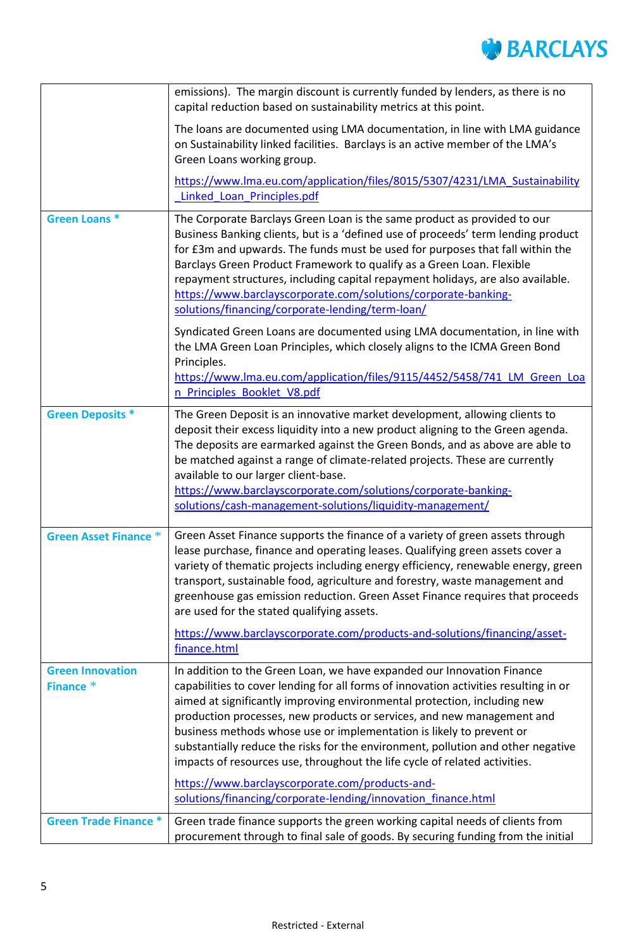

|                                      | emissions). The margin discount is currently funded by lenders, as there is no<br>capital reduction based on sustainability metrics at this point.                                                                                                                                                                                                                                                                                                                                                                                                             |
|--------------------------------------|----------------------------------------------------------------------------------------------------------------------------------------------------------------------------------------------------------------------------------------------------------------------------------------------------------------------------------------------------------------------------------------------------------------------------------------------------------------------------------------------------------------------------------------------------------------|
|                                      | The loans are documented using LMA documentation, in line with LMA guidance<br>on Sustainability linked facilities. Barclays is an active member of the LMA's<br>Green Loans working group.                                                                                                                                                                                                                                                                                                                                                                    |
|                                      | https://www.lma.eu.com/application/files/8015/5307/4231/LMA Sustainability<br>Linked Loan Principles.pdf                                                                                                                                                                                                                                                                                                                                                                                                                                                       |
| <b>Green Loans*</b>                  | The Corporate Barclays Green Loan is the same product as provided to our<br>Business Banking clients, but is a 'defined use of proceeds' term lending product<br>for £3m and upwards. The funds must be used for purposes that fall within the<br>Barclays Green Product Framework to qualify as a Green Loan. Flexible<br>repayment structures, including capital repayment holidays, are also available.<br>https://www.barclayscorporate.com/solutions/corporate-banking-<br>solutions/financing/corporate-lending/term-loan/                               |
|                                      | Syndicated Green Loans are documented using LMA documentation, in line with<br>the LMA Green Loan Principles, which closely aligns to the ICMA Green Bond<br>Principles.<br>https://www.lma.eu.com/application/files/9115/4452/5458/741 LM Green Loa<br>n Principles Booklet V8.pdf                                                                                                                                                                                                                                                                            |
| <b>Green Deposits *</b>              | The Green Deposit is an innovative market development, allowing clients to<br>deposit their excess liquidity into a new product aligning to the Green agenda.<br>The deposits are earmarked against the Green Bonds, and as above are able to<br>be matched against a range of climate-related projects. These are currently<br>available to our larger client-base.<br>https://www.barclayscorporate.com/solutions/corporate-banking-                                                                                                                         |
|                                      | solutions/cash-management-solutions/liquidity-management/                                                                                                                                                                                                                                                                                                                                                                                                                                                                                                      |
| <b>Green Asset Finance *</b>         | Green Asset Finance supports the finance of a variety of green assets through<br>lease purchase, finance and operating leases. Qualifying green assets cover a<br>variety of thematic projects including energy efficiency, renewable energy, green<br>transport, sustainable food, agriculture and forestry, waste management and<br>greenhouse gas emission reduction. Green Asset Finance requires that proceeds<br>are used for the stated qualifying assets.                                                                                              |
|                                      | https://www.barclayscorporate.com/products-and-solutions/financing/asset-<br>finance.html                                                                                                                                                                                                                                                                                                                                                                                                                                                                      |
| <b>Green Innovation</b><br>Finance * | In addition to the Green Loan, we have expanded our Innovation Finance<br>capabilities to cover lending for all forms of innovation activities resulting in or<br>aimed at significantly improving environmental protection, including new<br>production processes, new products or services, and new management and<br>business methods whose use or implementation is likely to prevent or<br>substantially reduce the risks for the environment, pollution and other negative<br>impacts of resources use, throughout the life cycle of related activities. |
|                                      | https://www.barclayscorporate.com/products-and-<br>solutions/financing/corporate-lending/innovation finance.html                                                                                                                                                                                                                                                                                                                                                                                                                                               |
| <b>Green Trade Finance *</b>         | Green trade finance supports the green working capital needs of clients from<br>procurement through to final sale of goods. By securing funding from the initial                                                                                                                                                                                                                                                                                                                                                                                               |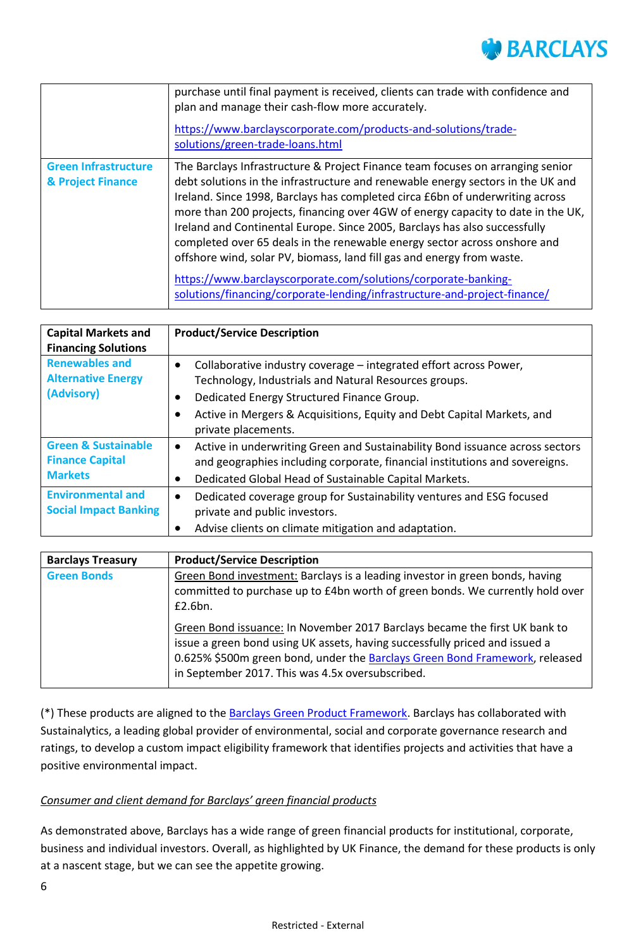

|                                                  | purchase until final payment is received, clients can trade with confidence and<br>plan and manage their cash-flow more accurately.<br>https://www.barclayscorporate.com/products-and-solutions/trade-<br>solutions/green-trade-loans.html                                                                                                                                                                                                                                                                                                                                  |
|--------------------------------------------------|-----------------------------------------------------------------------------------------------------------------------------------------------------------------------------------------------------------------------------------------------------------------------------------------------------------------------------------------------------------------------------------------------------------------------------------------------------------------------------------------------------------------------------------------------------------------------------|
| <b>Green Infrastructure</b><br>& Project Finance | The Barclays Infrastructure & Project Finance team focuses on arranging senior<br>debt solutions in the infrastructure and renewable energy sectors in the UK and<br>Ireland. Since 1998, Barclays has completed circa £6bn of underwriting across<br>more than 200 projects, financing over 4GW of energy capacity to date in the UK,<br>Ireland and Continental Europe. Since 2005, Barclays has also successfully<br>completed over 65 deals in the renewable energy sector across onshore and<br>offshore wind, solar PV, biomass, land fill gas and energy from waste. |
|                                                  | https://www.barclayscorporate.com/solutions/corporate-banking-<br>solutions/financing/corporate-lending/infrastructure-and-project-finance/                                                                                                                                                                                                                                                                                                                                                                                                                                 |

| <b>Capital Markets and</b><br><b>Financing Solutions</b>                   | <b>Product/Service Description</b>                                                                                                                                                                                                                                                                               |
|----------------------------------------------------------------------------|------------------------------------------------------------------------------------------------------------------------------------------------------------------------------------------------------------------------------------------------------------------------------------------------------------------|
| <b>Renewables and</b><br><b>Alternative Energy</b><br>(Advisory)           | Collaborative industry coverage – integrated effort across Power,<br>$\bullet$<br>Technology, Industrials and Natural Resources groups.<br>Dedicated Energy Structured Finance Group.<br>$\bullet$<br>Active in Mergers & Acquisitions, Equity and Debt Capital Markets, and<br>$\bullet$<br>private placements. |
| <b>Green &amp; Sustainable</b><br><b>Finance Capital</b><br><b>Markets</b> | Active in underwriting Green and Sustainability Bond issuance across sectors<br>$\bullet$<br>and geographies including corporate, financial institutions and sovereigns.<br>Dedicated Global Head of Sustainable Capital Markets.<br>$\bullet$                                                                   |
| <b>Environmental and</b><br><b>Social Impact Banking</b>                   | Dedicated coverage group for Sustainability ventures and ESG focused<br>$\bullet$<br>private and public investors.<br>Advise clients on climate mitigation and adaptation.<br>$\bullet$                                                                                                                          |

| <b>Barclays Treasury</b> | <b>Product/Service Description</b>                                                                                                                                                                                                                                                           |
|--------------------------|----------------------------------------------------------------------------------------------------------------------------------------------------------------------------------------------------------------------------------------------------------------------------------------------|
| <b>Green Bonds</b>       | Green Bond investment: Barclays is a leading investor in green bonds, having<br>committed to purchase up to £4bn worth of green bonds. We currently hold over<br>£2.6bn.                                                                                                                     |
|                          | Green Bond issuance: In November 2017 Barclays became the first UK bank to<br>issue a green bond using UK assets, having successfully priced and issued a<br>0.625% \$500m green bond, under the Barclays Green Bond Framework, released<br>in September 2017. This was 4.5x oversubscribed. |

(\*) These products are aligned to the [Barclays Green Product Framework.](https://www.home.barclays/content/dam/home-barclays/documents/citizenship/access-to-finance/Barclays-Green-Product-Framework.pdf) Barclays has collaborated with Sustainalytics, a leading global provider of environmental, social and corporate governance research and ratings, to develop a custom impact eligibility framework that identifies projects and activities that have a positive environmental impact.

### *Consumer and client demand for Barclays' green financial products*

As demonstrated above, Barclays has a wide range of green financial products for institutional, corporate, business and individual investors. Overall, as highlighted by UK Finance, the demand for these products is only at a nascent stage, but we can see the appetite growing.

6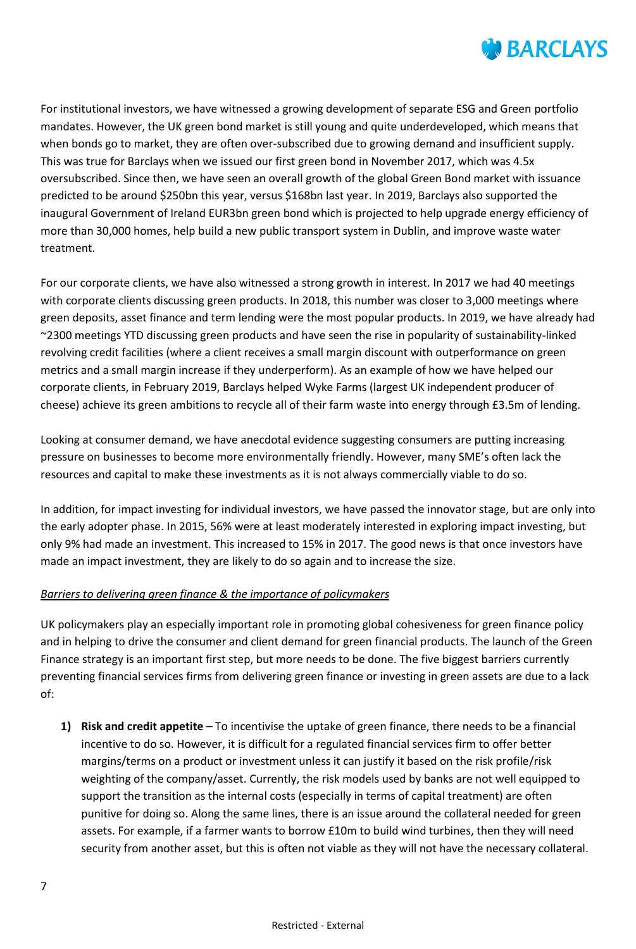

For institutional investors, we have witnessed a growing development of separate ESG and Green portfolio mandates. However, the UK green bond market is still young and quite underdeveloped, which means that when bonds go to market, they are often over-subscribed due to growing demand and insufficient supply. This was true for Barclays when we issued our first green bond in November 2017, which was 4.5x oversubscribed. Since then, we have seen an overall growth of the global Green Bond market with issuance predicted to be around \$250bn this year, versus \$168bn last year. In 2019, Barclays also supported the inaugural Government of Ireland EUR3bn green bond which is projected to help upgrade energy efficiency of more than 30,000 homes, help build a new public transport system in Dublin, and improve waste water treatment.

For our corporate clients, we have also witnessed a strong growth in interest. In 2017 we had 40 meetings with corporate clients discussing green products. In 2018, this number was closer to 3,000 meetings where green deposits, asset finance and term lending were the most popular products. In 2019, we have already had ~2300 meetings YTD discussing green products and have seen the rise in popularity of sustainability-linked revolving credit facilities (where a client receives a small margin discount with outperformance on green metrics and a small margin increase if they underperform). As an example of how we have helped our corporate clients, in February 2019, Barclays helped Wyke Farms (largest UK independent producer of cheese) achieve its green ambitions to recycle all of their farm waste into energy through £3.5m of lending.

Looking at consumer demand, we have anecdotal evidence suggesting consumers are putting increasing pressure on businesses to become more environmentally friendly. However, many SME's often lack the resources and capital to make these investments as it is not always commercially viable to do so.

In addition, for impact investing for individual investors, we have passed the innovator stage, but are only into the early adopter phase. In 2015, 56% were at least moderately interested in exploring impact investing, but only 9% had made an investment. This increased to 15% in 2017. The good news is that once investors have made an impact investment, they are likely to do so again and to increase the size.

### *Barriers to delivering green finance & the importance of policymakers*

UK policymakers play an especially important role in promoting global cohesiveness for green finance policy and in helping to drive the consumer and client demand for green financial products. The launch of the Green Finance strategy is an important first step, but more needs to be done. The five biggest barriers currently preventing financial services firms from delivering green finance or investing in green assets are due to a lack of:

**1) Risk and credit appetite** – To incentivise the uptake of green finance, there needs to be a financial incentive to do so. However, it is difficult for a regulated financial services firm to offer better margins/terms on a product or investment unless it can justify it based on the risk profile/risk weighting of the company/asset. Currently, the risk models used by banks are not well equipped to support the transition as the internal costs (especially in terms of capital treatment) are often punitive for doing so. Along the same lines, there is an issue around the collateral needed for green assets. For example, if a farmer wants to borrow £10m to build wind turbines, then they will need security from another asset, but this is often not viable as they will not have the necessary collateral.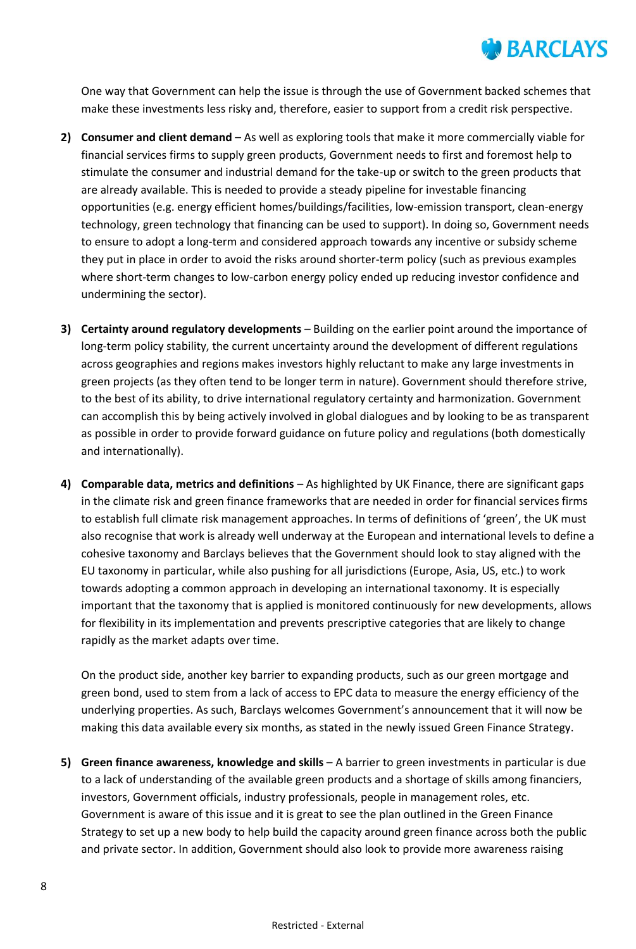

One way that Government can help the issue is through the use of Government backed schemes that make these investments less risky and, therefore, easier to support from a credit risk perspective.

- **2) Consumer and client demand** As well as exploring tools that make it more commercially viable for financial services firms to supply green products, Government needs to first and foremost help to stimulate the consumer and industrial demand for the take-up or switch to the green products that are already available. This is needed to provide a steady pipeline for investable financing opportunities (e.g. energy efficient homes/buildings/facilities, low-emission transport, clean-energy technology, green technology that financing can be used to support). In doing so, Government needs to ensure to adopt a long-term and considered approach towards any incentive or subsidy scheme they put in place in order to avoid the risks around shorter-term policy (such as previous examples where short-term changes to low-carbon energy policy ended up reducing investor confidence and undermining the sector).
- **3) Certainty around regulatory developments** Building on the earlier point around the importance of long-term policy stability, the current uncertainty around the development of different regulations across geographies and regions makes investors highly reluctant to make any large investments in green projects (as they often tend to be longer term in nature). Government should therefore strive, to the best of its ability, to drive international regulatory certainty and harmonization. Government can accomplish this by being actively involved in global dialogues and by looking to be as transparent as possible in order to provide forward guidance on future policy and regulations (both domestically and internationally).
- **4) Comparable data, metrics and definitions** As highlighted by UK Finance, there are significant gaps in the climate risk and green finance frameworks that are needed in order for financial services firms to establish full climate risk management approaches. In terms of definitions of 'green', the UK must also recognise that work is already well underway at the European and international levels to define a cohesive taxonomy and Barclays believes that the Government should look to stay aligned with the EU taxonomy in particular, while also pushing for all jurisdictions (Europe, Asia, US, etc.) to work towards adopting a common approach in developing an international taxonomy. It is especially important that the taxonomy that is applied is monitored continuously for new developments, allows for flexibility in its implementation and prevents prescriptive categories that are likely to change rapidly as the market adapts over time.

On the product side, another key barrier to expanding products, such as our green mortgage and green bond, used to stem from a lack of access to EPC data to measure the energy efficiency of the underlying properties. As such, Barclays welcomes Government's announcement that it will now be making this data available every six months, as stated in the newly issued Green Finance Strategy.

**5) Green finance awareness, knowledge and skills** – A barrier to green investments in particular is due to a lack of understanding of the available green products and a shortage of skills among financiers, investors, Government officials, industry professionals, people in management roles, etc. Government is aware of this issue and it is great to see the plan outlined in the Green Finance Strategy to set up a new body to help build the capacity around green finance across both the public and private sector. In addition, Government should also look to provide more awareness raising